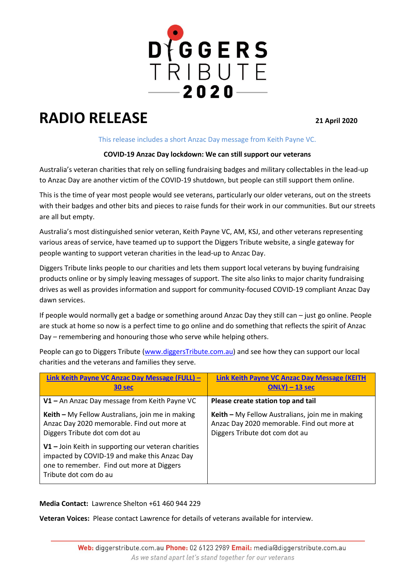

## **RADIO RELEASE <sup>21</sup> April 2020**

## This release includes a short Anzac Day message from Keith Payne VC.

## **COVID-19 Anzac Day lockdown: We can still support our veterans**

Australia's veteran charities that rely on selling fundraising badges and military collectables in the lead-up to Anzac Day are another victim of the COVID-19 shutdown, but people can still support them online.

This is the time of year most people would see veterans, particularly our older veterans, out on the streets with their badges and other bits and pieces to raise funds for their work in our communities. But our streets are all but empty.

Australia's most distinguished senior veteran, Keith Payne VC, AM, KSJ, and other veterans representing various areas of service, have teamed up to support the Diggers Tribute website, a single gateway for people wanting to support veteran charities in the lead-up to Anzac Day.

Diggers Tribute links people to our charities and lets them support local veterans by buying fundraising products online or by simply leaving messages of support. The site also links to major charity fundraising drives as well as provides information and support for community-focused COVID-19 compliant Anzac Day dawn services.

If people would normally get a badge or something around Anzac Day they still can – just go online. People are stuck at home so now is a perfect time to go online and do something that reflects the spirit of Anzac Day – remembering and honouring those who serve while helping others.

People can go to Diggers Tribute [\(www.diggersTribute.com.au\)](http://www.diggerstribute.com.au/) and see how they can support our local charities and the veterans and families they serve.

| Link Keith Payne VC Anzac Day Message (FULL) -                                                                                                                              | <b>Link Keith Payne VC Anzac Day Message (KEITH</b> |
|-----------------------------------------------------------------------------------------------------------------------------------------------------------------------------|-----------------------------------------------------|
| 30 sec                                                                                                                                                                      | $ONLY$ ) – 13 sec                                   |
| V1 - An Anzac Day message from Keith Payne VC                                                                                                                               | Please create station top and tail                  |
| Keith - My Fellow Australians, join me in making                                                                                                                            | Keith - My Fellow Australians, join me in making    |
| Anzac Day 2020 memorable. Find out more at                                                                                                                                  | Anzac Day 2020 memorable. Find out more at          |
| Diggers Tribute dot com dot au                                                                                                                                              | Diggers Tribute dot com dot au                      |
| $V1 -$ Join Keith in supporting our veteran charities<br>impacted by COVID-19 and make this Anzac Day<br>one to remember. Find out more at Diggers<br>Tribute dot com do au |                                                     |

**Media Contact:** Lawrence Shelton +61 460 944 229

**Veteran Voices:** Please contact Lawrence for details of veterans available for interview.